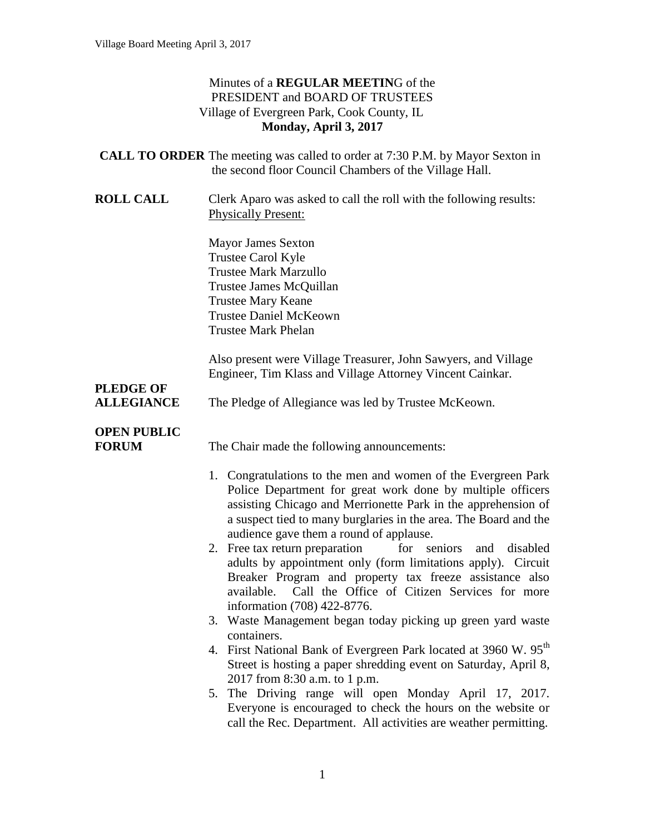## Minutes of a **REGULAR MEETIN**G of the PRESIDENT and BOARD OF TRUSTEES Village of Evergreen Park, Cook County, IL **Monday, April 3, 2017**

|                                    | <b>CALL TO ORDER</b> The meeting was called to order at 7:30 P.M. by Mayor Sexton in<br>the second floor Council Chambers of the Village Hall.                                                                                                                                                                                                                                                                                                                                                             |
|------------------------------------|------------------------------------------------------------------------------------------------------------------------------------------------------------------------------------------------------------------------------------------------------------------------------------------------------------------------------------------------------------------------------------------------------------------------------------------------------------------------------------------------------------|
| <b>ROLL CALL</b>                   | Clerk Aparo was asked to call the roll with the following results:<br><b>Physically Present:</b>                                                                                                                                                                                                                                                                                                                                                                                                           |
|                                    | <b>Mayor James Sexton</b><br><b>Trustee Carol Kyle</b><br><b>Trustee Mark Marzullo</b><br>Trustee James McQuillan<br><b>Trustee Mary Keane</b><br><b>Trustee Daniel McKeown</b><br><b>Trustee Mark Phelan</b>                                                                                                                                                                                                                                                                                              |
| <b>PLEDGE OF</b>                   | Also present were Village Treasurer, John Sawyers, and Village<br>Engineer, Tim Klass and Village Attorney Vincent Cainkar.                                                                                                                                                                                                                                                                                                                                                                                |
| <b>ALLEGIANCE</b>                  | The Pledge of Allegiance was led by Trustee McKeown.                                                                                                                                                                                                                                                                                                                                                                                                                                                       |
| <b>OPEN PUBLIC</b><br><b>FORUM</b> | The Chair made the following announcements:                                                                                                                                                                                                                                                                                                                                                                                                                                                                |
|                                    | 1. Congratulations to the men and women of the Evergreen Park<br>Police Department for great work done by multiple officers<br>assisting Chicago and Merrionette Park in the apprehension of<br>a suspect tied to many burglaries in the area. The Board and the<br>audience gave them a round of applause.<br>2. Free tax return preparation<br>for seniors<br>and<br>disabled<br>adults by appointment only (form limitations apply). Circuit<br>Breaker Program and property tax freeze assistance also |
|                                    | available. Call the Office of Citizen Services for more<br>information (708) 422-8776.                                                                                                                                                                                                                                                                                                                                                                                                                     |
|                                    | 3. Waste Management began today picking up green yard waste<br>containers.                                                                                                                                                                                                                                                                                                                                                                                                                                 |
|                                    | 4. First National Bank of Evergreen Park located at 3960 W. 95 <sup>th</sup><br>Street is hosting a paper shredding event on Saturday, April 8,<br>2017 from 8:30 a.m. to 1 p.m.                                                                                                                                                                                                                                                                                                                           |
|                                    | 5. The Driving range will open Monday April 17, 2017.<br>Everyone is encouraged to check the hours on the website or<br>call the Rec. Department. All activities are weather permitting.                                                                                                                                                                                                                                                                                                                   |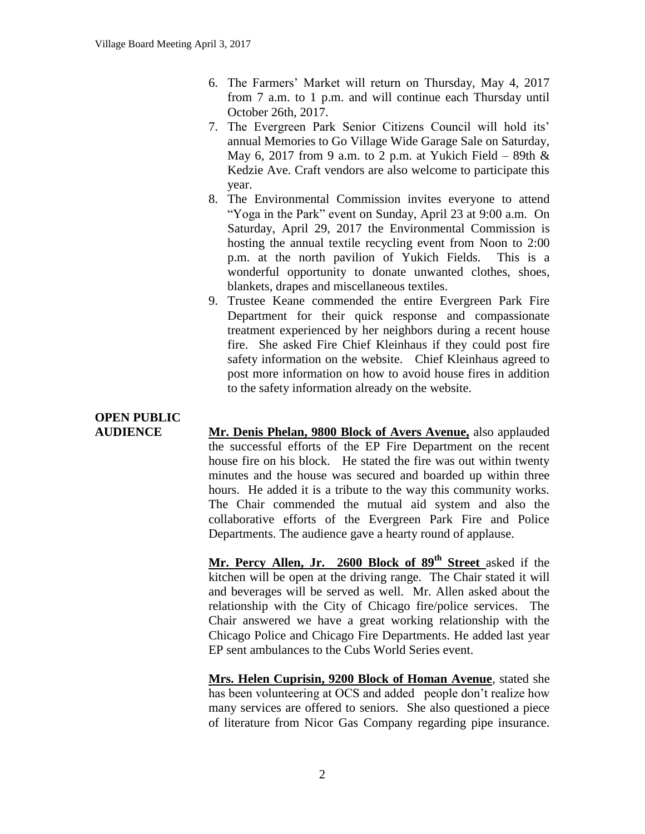- 6. The Farmers' Market will return on Thursday, May 4, 2017 from 7 a.m. to 1 p.m. and will continue each Thursday until October 26th, 2017.
- 7. The Evergreen Park Senior Citizens Council will hold its' annual Memories to Go Village Wide Garage Sale on Saturday, May 6, 2017 from 9 a.m. to 2 p.m. at Yukich Field – 89th  $\&$ Kedzie Ave. Craft vendors are also welcome to participate this year.
- 8. The Environmental Commission invites everyone to attend "Yoga in the Park" event on Sunday, April 23 at 9:00 a.m. On Saturday, April 29, 2017 the Environmental Commission is hosting the annual textile recycling event from Noon to 2:00 p.m. at the north pavilion of Yukich Fields. This is a wonderful opportunity to donate unwanted clothes, shoes, blankets, drapes and miscellaneous textiles.
- 9. Trustee Keane commended the entire Evergreen Park Fire Department for their quick response and compassionate treatment experienced by her neighbors during a recent house fire. She asked Fire Chief Kleinhaus if they could post fire safety information on the website. Chief Kleinhaus agreed to post more information on how to avoid house fires in addition to the safety information already on the website.

## **OPEN PUBLIC**

**AUDIENCE Mr. Denis Phelan, 9800 Block of Avers Avenue,** also applauded the successful efforts of the EP Fire Department on the recent house fire on his block. He stated the fire was out within twenty minutes and the house was secured and boarded up within three hours. He added it is a tribute to the way this community works. The Chair commended the mutual aid system and also the collaborative efforts of the Evergreen Park Fire and Police Departments. The audience gave a hearty round of applause.

> **Mr. Percy Allen, Jr. 2600 Block of 89th Street** asked if the kitchen will be open at the driving range. The Chair stated it will and beverages will be served as well. Mr. Allen asked about the relationship with the City of Chicago fire/police services. The Chair answered we have a great working relationship with the Chicago Police and Chicago Fire Departments. He added last year EP sent ambulances to the Cubs World Series event.

> **Mrs. Helen Cuprisin, 9200 Block of Homan Avenue**, stated she has been volunteering at OCS and added people don't realize how many services are offered to seniors. She also questioned a piece of literature from Nicor Gas Company regarding pipe insurance.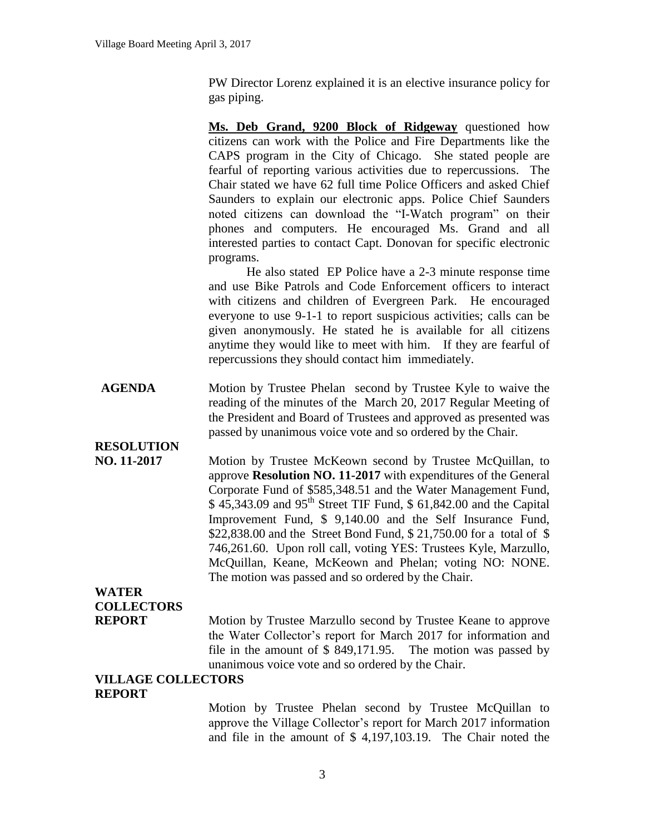PW Director Lorenz explained it is an elective insurance policy for gas piping.

**Ms. Deb Grand, 9200 Block of Ridgeway** questioned how citizens can work with the Police and Fire Departments like the CAPS program in the City of Chicago. She stated people are fearful of reporting various activities due to repercussions. The Chair stated we have 62 full time Police Officers and asked Chief Saunders to explain our electronic apps. Police Chief Saunders noted citizens can download the "I-Watch program" on their phones and computers. He encouraged Ms. Grand and all interested parties to contact Capt. Donovan for specific electronic programs.

He also stated EP Police have a 2-3 minute response time and use Bike Patrols and Code Enforcement officers to interact with citizens and children of Evergreen Park. He encouraged everyone to use 9-1-1 to report suspicious activities; calls can be given anonymously. He stated he is available for all citizens anytime they would like to meet with him. If they are fearful of repercussions they should contact him immediately.

**AGENDA** Motion by Trustee Phelan second by Trustee Kyle to waive the reading of the minutes of the March 20, 2017 Regular Meeting of the President and Board of Trustees and approved as presented was passed by unanimous voice vote and so ordered by the Chair.

**RESOLUTION** 

**NO. 11-2017** Motion by Trustee McKeown second by Trustee McQuillan, to approve **Resolution NO. 11-2017** with expenditures of the General Corporate Fund of \$585,348.51 and the Water Management Fund,  $$45,343.09$  and  $95<sup>th</sup>$  Street TIF Fund,  $$61,842.00$  and the Capital Improvement Fund, \$ 9,140.00 and the Self Insurance Fund, \$22,838.00 and the Street Bond Fund, \$ 21,750.00 for a total of \$ 746,261.60. Upon roll call, voting YES: Trustees Kyle, Marzullo, McQuillan, Keane, McKeown and Phelan; voting NO: NONE. The motion was passed and so ordered by the Chair.

## **WATER COLLECTORS**

**REPORT** Motion by Trustee Marzullo second by Trustee Keane to approve the Water Collector's report for March 2017 for information and file in the amount of \$ 849,171.95. The motion was passed by unanimous voice vote and so ordered by the Chair.

## **VILLAGE COLLECTORS REPORT**

Motion by Trustee Phelan second by Trustee McQuillan to approve the Village Collector's report for March 2017 information and file in the amount of \$ 4,197,103.19. The Chair noted the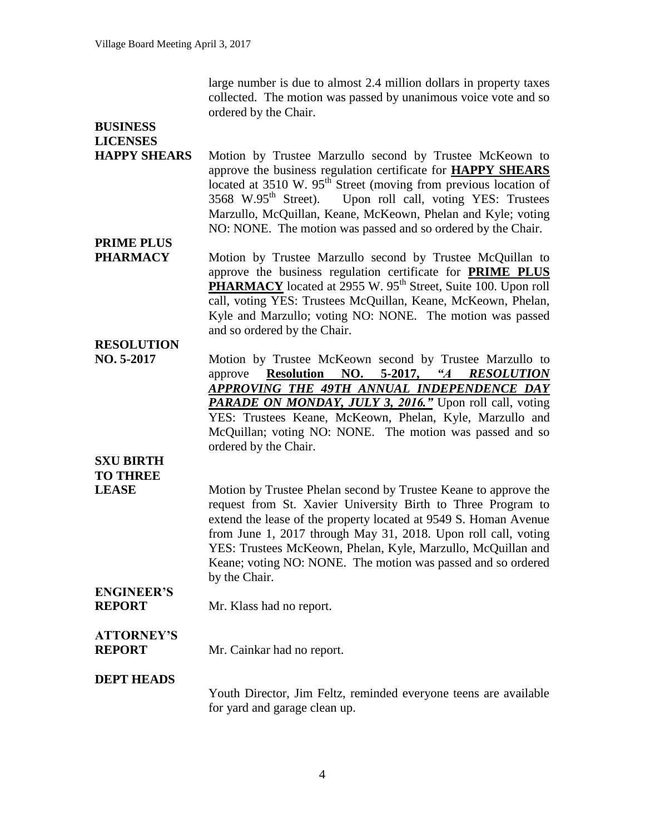large number is due to almost 2.4 million dollars in property taxes collected. The motion was passed by unanimous voice vote and so ordered by the Chair.

| <b>BUSINESS</b><br><b>LICENSES</b> |                                                                                                                                                                                                                                                                                                                                                                                                                        |
|------------------------------------|------------------------------------------------------------------------------------------------------------------------------------------------------------------------------------------------------------------------------------------------------------------------------------------------------------------------------------------------------------------------------------------------------------------------|
| <b>HAPPY SHEARS</b>                | Motion by Trustee Marzullo second by Trustee McKeown to<br>approve the business regulation certificate for <b>HAPPY SHEARS</b><br>located at $3510$ W. $95th$ Street (moving from previous location of<br>3568 W.95 <sup>th</sup> Street).<br>Upon roll call, voting YES: Trustees<br>Marzullo, McQuillan, Keane, McKeown, Phelan and Kyle; voting<br>NO: NONE. The motion was passed and so ordered by the Chair.     |
| <b>PRIME PLUS</b>                  |                                                                                                                                                                                                                                                                                                                                                                                                                        |
| <b>PHARMACY</b>                    | Motion by Trustee Marzullo second by Trustee McQuillan to<br>approve the business regulation certificate for <b>PRIME PLUS</b><br><b>PHARMACY</b> located at 2955 W. 95 <sup>th</sup> Street, Suite 100. Upon roll<br>call, voting YES: Trustees McQuillan, Keane, McKeown, Phelan,<br>Kyle and Marzullo; voting NO: NONE. The motion was passed<br>and so ordered by the Chair.                                       |
| <b>RESOLUTION</b>                  |                                                                                                                                                                                                                                                                                                                                                                                                                        |
| NO. 5-2017                         | Motion by Trustee McKeown second by Trustee Marzullo to<br>5-2017,<br>$\mathscr{A}$<br><b>Resolution</b><br>NO.<br><b>RESOLUTION</b><br>approve<br>APPROVING THE 49TH ANNUAL INDEPENDENCE DAY<br>PARADE ON MONDAY, JULY 3, 2016." Upon roll call, voting<br>YES: Trustees Keane, McKeown, Phelan, Kyle, Marzullo and<br>McQuillan; voting NO: NONE. The motion was passed and so<br>ordered by the Chair.              |
| <b>SXU BIRTH</b>                   |                                                                                                                                                                                                                                                                                                                                                                                                                        |
| <b>TO THREE</b>                    |                                                                                                                                                                                                                                                                                                                                                                                                                        |
| <b>LEASE</b>                       | Motion by Trustee Phelan second by Trustee Keane to approve the<br>request from St. Xavier University Birth to Three Program to<br>extend the lease of the property located at 9549 S. Homan Avenue<br>from June 1, 2017 through May 31, 2018. Upon roll call, voting<br>YES: Trustees McKeown, Phelan, Kyle, Marzullo, McQuillan and<br>Keane; voting NO: NONE. The motion was passed and so ordered<br>by the Chair. |
| <b>ENGINEER'S</b><br><b>REPORT</b> | Mr. Klass had no report.                                                                                                                                                                                                                                                                                                                                                                                               |
| <b>ATTORNEY'S</b><br><b>REPORT</b> | Mr. Cainkar had no report.                                                                                                                                                                                                                                                                                                                                                                                             |
| <b>DEPT HEADS</b>                  | Youth Director, Jim Feltz, reminded everyone teens are available<br>for yard and garage clean up.                                                                                                                                                                                                                                                                                                                      |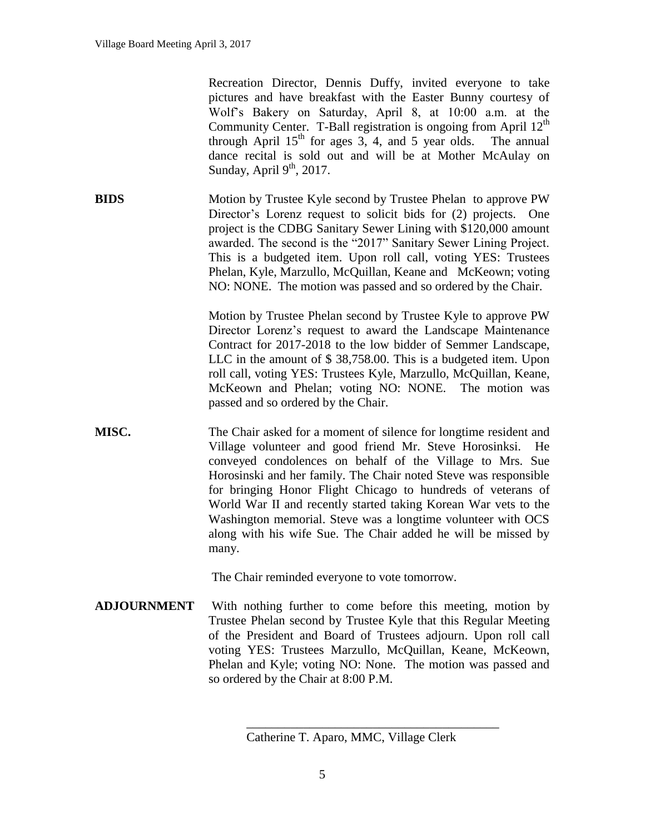Recreation Director, Dennis Duffy, invited everyone to take pictures and have breakfast with the Easter Bunny courtesy of Wolf's Bakery on Saturday, April 8, at 10:00 a.m. at the Community Center. T-Ball registration is ongoing from April  $12<sup>th</sup>$ through April  $15<sup>th</sup>$  for ages 3, 4, and 5 year olds. The annual dance recital is sold out and will be at Mother McAulay on Sunday, April  $9<sup>th</sup>$ , 2017.

**BIDS** Motion by Trustee Kyle second by Trustee Phelan to approve PW Director's Lorenz request to solicit bids for (2) projects. One project is the CDBG Sanitary Sewer Lining with \$120,000 amount awarded. The second is the "2017" Sanitary Sewer Lining Project. This is a budgeted item. Upon roll call, voting YES: Trustees Phelan, Kyle, Marzullo, McQuillan, Keane and McKeown; voting NO: NONE. The motion was passed and so ordered by the Chair.

> Motion by Trustee Phelan second by Trustee Kyle to approve PW Director Lorenz's request to award the Landscape Maintenance Contract for 2017-2018 to the low bidder of Semmer Landscape, LLC in the amount of \$ 38,758.00. This is a budgeted item. Upon roll call, voting YES: Trustees Kyle, Marzullo, McQuillan, Keane, McKeown and Phelan; voting NO: NONE. The motion was passed and so ordered by the Chair.

**MISC.** The Chair asked for a moment of silence for longtime resident and Village volunteer and good friend Mr. Steve Horosinksi. He conveyed condolences on behalf of the Village to Mrs. Sue Horosinski and her family. The Chair noted Steve was responsible for bringing Honor Flight Chicago to hundreds of veterans of World War II and recently started taking Korean War vets to the Washington memorial. Steve was a longtime volunteer with OCS along with his wife Sue. The Chair added he will be missed by many.

The Chair reminded everyone to vote tomorrow.

**ADJOURNMENT** With nothing further to come before this meeting, motion by Trustee Phelan second by Trustee Kyle that this Regular Meeting of the President and Board of Trustees adjourn. Upon roll call voting YES: Trustees Marzullo, McQuillan, Keane, McKeown, Phelan and Kyle; voting NO: None. The motion was passed and so ordered by the Chair at 8:00 P.M.

\_\_\_\_\_\_\_\_\_\_\_\_\_\_\_\_\_\_\_\_\_\_\_\_\_\_\_\_\_\_\_\_\_\_\_\_\_\_\_\_

Catherine T. Aparo, MMC, Village Clerk